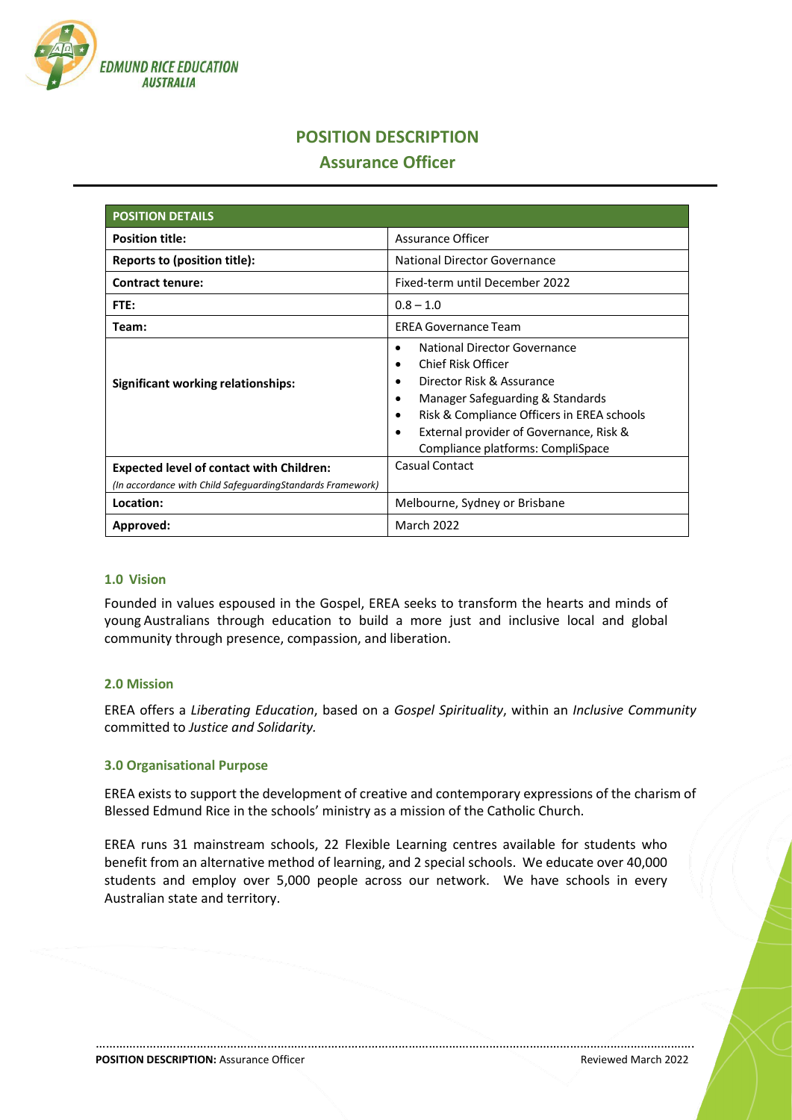

# **POSITION DESCRIPTION**

## **Assurance Officer**

| <b>POSITION DETAILS</b>                                    |                                                                                                                                                                                                                                                                                                    |
|------------------------------------------------------------|----------------------------------------------------------------------------------------------------------------------------------------------------------------------------------------------------------------------------------------------------------------------------------------------------|
| <b>Position title:</b>                                     | <b>Assurance Officer</b>                                                                                                                                                                                                                                                                           |
| Reports to (position title):                               | <b>National Director Governance</b>                                                                                                                                                                                                                                                                |
| <b>Contract tenure:</b>                                    | Fixed-term until December 2022                                                                                                                                                                                                                                                                     |
| FTE:                                                       | $0.8 - 1.0$                                                                                                                                                                                                                                                                                        |
| Team:                                                      | <b>EREA Governance Team</b>                                                                                                                                                                                                                                                                        |
| Significant working relationships:                         | National Director Governance<br>٠<br>Chief Risk Officer<br>$\bullet$<br>Director Risk & Assurance<br>$\bullet$<br>Manager Safeguarding & Standards<br>٠<br>Risk & Compliance Officers in EREA schools<br>$\bullet$<br>External provider of Governance, Risk &<br>Compliance platforms: CompliSpace |
| <b>Expected level of contact with Children:</b>            | Casual Contact                                                                                                                                                                                                                                                                                     |
| (In accordance with Child SafeguardingStandards Framework) |                                                                                                                                                                                                                                                                                                    |
| Location:                                                  | Melbourne, Sydney or Brisbane                                                                                                                                                                                                                                                                      |
| Approved:                                                  | <b>March 2022</b>                                                                                                                                                                                                                                                                                  |

#### **1.0 Vision**

Founded in values espoused in the Gospel, EREA seeks to transform the hearts and minds of young Australians through education to build a more just and inclusive local and global community through presence, compassion, and liberation.

#### **2.0 Mission**

EREA offers a *Liberating Education*, based on a *Gospel Spirituality*, within an *Inclusive Community* committed to *Justice and Solidarity.*

## **3.0 Organisational Purpose**

EREA exists to support the development of creative and contemporary expressions of the charism of Blessed Edmund Rice in the schools' ministry as a mission of the Catholic Church.

EREA runs 31 mainstream schools, 22 Flexible Learning centres available for students who benefit from an alternative method of learning, and 2 special schools. We educate over 40,000 students and employ over 5,000 people across our network. We have schools in every Australian state and territory.

…………………………………………………………………………………………………………………………………………………………….